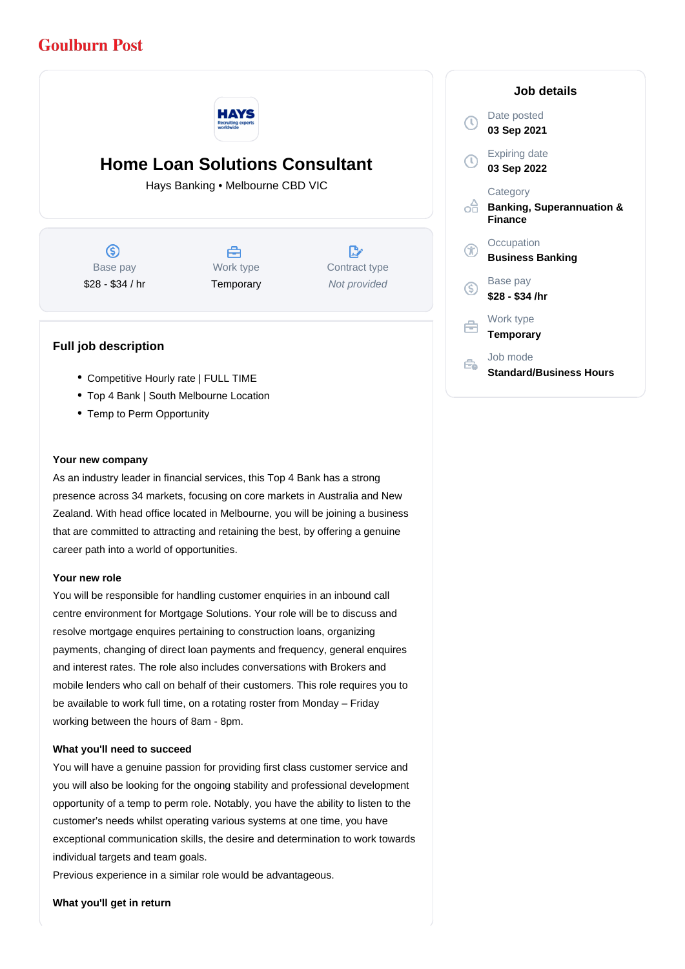# **Goulburn Post**



# **Home Loan Solutions Consultant**

Hays Banking • Melbourne CBD VIC

 $\circledS$ Base pay \$28 - \$34 / hr



 $\mathbb{R}^{\cdot}$ Contract type Not provided

# **Full job description**

- Competitive Hourly rate | FULL TIME
- Top 4 Bank | South Melbourne Location
- Temp to Perm Opportunity

### **Your new company**

As an industry leader in financial services, this Top 4 Bank has a strong presence across 34 markets, focusing on core markets in Australia and New Zealand. With head office located in Melbourne, you will be joining a business that are committed to attracting and retaining the best, by offering a genuine career path into a world of opportunities.

#### **Your new role**

You will be responsible for handling customer enquiries in an inbound call centre environment for Mortgage Solutions. Your role will be to discuss and resolve mortgage enquires pertaining to construction loans, organizing payments, changing of direct loan payments and frequency, general enquires and interest rates. The role also includes conversations with Brokers and mobile lenders who call on behalf of their customers. This role requires you to be available to work full time, on a rotating roster from Monday – Friday working between the hours of 8am - 8pm.

### **What you'll need to succeed**

You will have a genuine passion for providing first class customer service and you will also be looking for the ongoing stability and professional development opportunity of a temp to perm role. Notably, you have the ability to listen to the customer's needs whilst operating various systems at one time, you have exceptional communication skills, the desire and determination to work towards individual targets and team goals.

Previous experience in a similar role would be advantageous.

**What you'll get in return**

# **Job details** Date posted Œ **03 Sep 2021** Expiring date **03 Sep 2022 Category** ofi **Banking, Superannuation & Finance Occupation Business Banking** Base pay <sub>(S)</sub> **\$28 - \$34 /hr** Work type **Temporary** Job mode Ê. **Standard/Business Hours**